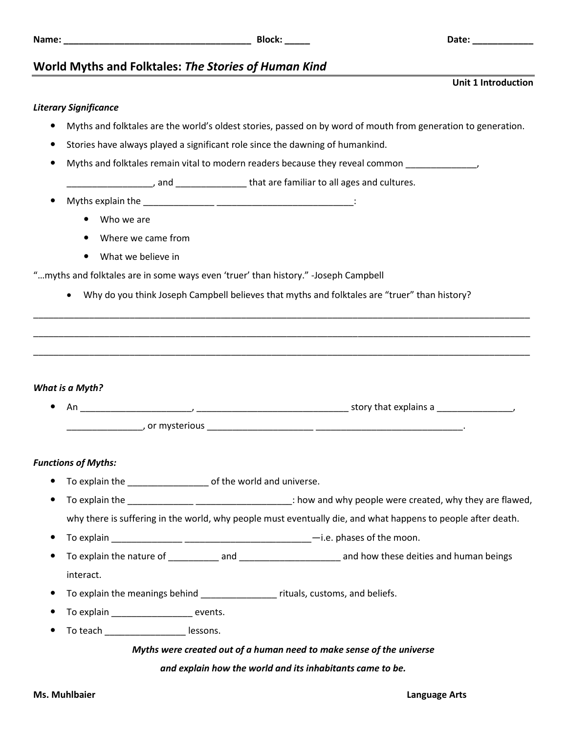## **Name: \_\_\_\_\_\_\_\_\_\_\_\_\_\_\_\_\_\_\_\_\_\_\_\_\_\_\_\_\_\_\_\_\_\_\_\_\_ Block: \_\_\_\_\_ Date: \_\_\_\_\_\_\_\_\_\_\_\_**

**Unit 1 Introduction**

## **World Myths and Folktales:** *The Stories of Human Kind*

## *Literary Significance*

- Myths and folktales are the world's oldest stories, passed on by word of mouth from generation to generation.
- Stories have always played a significant role since the dawning of humankind.
- Myths and folktales remain vital to modern readers because they reveal common \_\_\_\_\_\_\_\_\_\_\_\_\_\_,

\_\_\_\_\_\_\_\_\_\_\_\_\_\_\_\_\_, and \_\_\_\_\_\_\_\_\_\_\_\_\_\_ that are familiar to all ages and cultures.

- Myths explain the \_\_\_\_\_\_\_\_\_\_\_\_\_\_ \_\_\_\_\_\_\_\_\_\_\_\_\_\_\_\_\_\_\_\_\_\_\_\_\_\_\_:
	- Who we are
	- Where we came from
	- What we believe in

"…myths and folktales are in some ways even 'truer' than history." -Joseph Campbell

Why do you think Joseph Campbell believes that myths and folktales are "truer" than history?

\_\_\_\_\_\_\_\_\_\_\_\_\_\_\_\_\_\_\_\_\_\_\_\_\_\_\_\_\_\_\_\_\_\_\_\_\_\_\_\_\_\_\_\_\_\_\_\_\_\_\_\_\_\_\_\_\_\_\_\_\_\_\_\_\_\_\_\_\_\_\_\_\_\_\_\_\_\_\_\_\_\_\_\_\_\_\_\_\_\_\_\_\_\_\_\_\_\_

\_\_\_\_\_\_\_\_\_\_\_\_\_\_\_\_\_\_\_\_\_\_\_\_\_\_\_\_\_\_\_\_\_\_\_\_\_\_\_\_\_\_\_\_\_\_\_\_\_\_\_\_\_\_\_\_\_\_\_\_\_\_\_\_\_\_\_\_\_\_\_\_\_\_\_\_\_\_\_\_\_\_\_\_\_\_\_\_\_\_\_\_\_\_\_\_\_\_

\_\_\_\_\_\_\_\_\_\_\_\_\_\_\_\_\_\_\_\_\_\_\_\_\_\_\_\_\_\_\_\_\_\_\_\_\_\_\_\_\_\_\_\_\_\_\_\_\_\_\_\_\_\_\_\_\_\_\_\_\_\_\_\_\_\_\_\_\_\_\_\_\_\_\_\_\_\_\_\_\_\_\_\_\_\_\_\_\_\_\_\_\_\_\_\_\_\_

*What is a Myth?* 

 An \_\_\_\_\_\_\_\_\_\_\_\_\_\_\_\_\_\_\_\_\_\_, \_\_\_\_\_\_\_\_\_\_\_\_\_\_\_\_\_\_\_\_\_\_\_\_\_\_\_\_\_\_ story that explains a \_\_\_\_\_\_\_\_\_\_\_\_\_\_\_, \_\_\_\_\_\_\_\_\_\_\_\_\_\_\_, or mysterious \_\_\_\_\_\_\_\_\_\_\_\_\_\_\_\_\_\_\_\_\_ \_\_\_\_\_\_\_\_\_\_\_\_\_\_\_\_\_\_\_\_\_\_\_\_\_\_\_\_\_.

## *Functions of Myths:*

- To explain the \_\_\_\_\_\_\_\_\_\_\_\_\_\_\_\_\_\_\_\_\_\_ of the world and universe.
- To explain the **The Landslei** explaint the state of the state of the state of the state of the state of the state of the state of the state of the state of the state of the state of the state of the state of the state of t why there is suffering in the world, why people must eventually die, and what happens to people after death.
- To explain  $\frac{1}{\frac{1}{2} + \frac{1}{2} + \frac{1}{2} + \cdots}$   $\frac{1}{\frac{1}{2} + \frac{1}{2} + \cdots}$   $\frac{1}{\frac{1}{2} + \cdots}$   $\frac{1}{\frac{1}{2} + \cdots}$   $\frac{1}{\frac{1}{2} + \cdots}$   $\frac{1}{\frac{1}{2} + \cdots}$   $\frac{1}{\frac{1}{2} + \cdots}$   $\frac{1}{\frac{1}{2} + \cdots}$   $\frac{1}{\frac{1}{2} + \cdots}$   $\frac{1}{$
- To explain the nature of Table 2 and To explain the nature of the and how these deities and human beings interact.
- To explain the meanings behind \_\_\_\_\_\_\_\_\_\_\_\_\_\_\_ rituals, customs, and beliefs.
- To explain events.
- To teach \_\_\_\_\_\_\_\_\_\_\_\_\_\_\_\_ lessons.

## *Myths were created out of a human need to make sense of the universe*

*and explain how the world and its inhabitants came to be.*